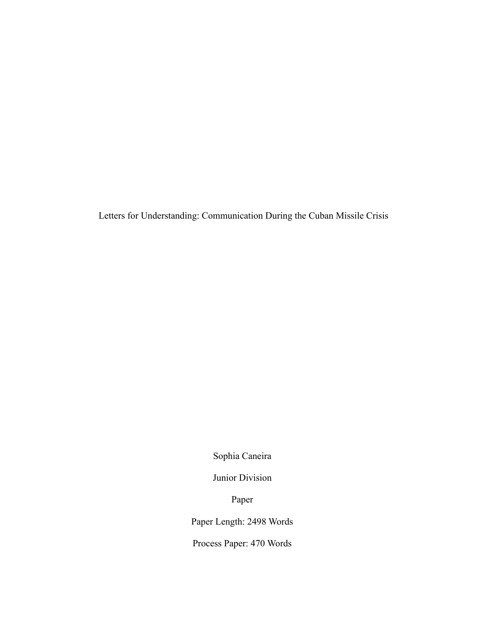Letters for Understanding: Communication During the Cuban Missile Crisis

Sophia Caneira

Junior Division

Paper

Paper Length: 2498 Words

Process Paper: 470 Words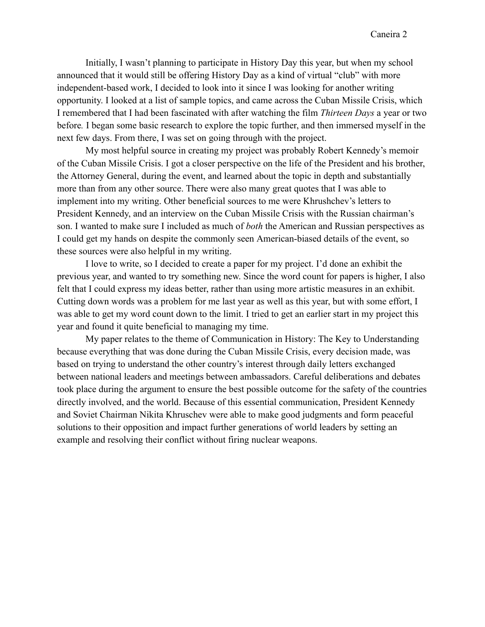Initially, I wasn't planning to participate in History Day this year, but when my school announced that it would still be offering History Day as a kind of virtual "club" with more independent-based work, I decided to look into it since I was looking for another writing opportunity. I looked at a list of sample topics, and came across the Cuban Missile Crisis, which I remembered that I had been fascinated with after watching the film *Thirteen Days* a year or two before*.* I began some basic research to explore the topic further, and then immersed myself in the next few days. From there, I was set on going through with the project.

My most helpful source in creating my project was probably Robert Kennedy's memoir of the Cuban Missile Crisis. I got a closer perspective on the life of the President and his brother, the Attorney General, during the event, and learned about the topic in depth and substantially more than from any other source. There were also many great quotes that I was able to implement into my writing. Other beneficial sources to me were Khrushchev's letters to President Kennedy, and an interview on the Cuban Missile Crisis with the Russian chairman's son. I wanted to make sure I included as much of *both* the American and Russian perspectives as I could get my hands on despite the commonly seen American-biased details of the event, so these sources were also helpful in my writing.

I love to write, so I decided to create a paper for my project. I'd done an exhibit the previous year, and wanted to try something new. Since the word count for papers is higher, I also felt that I could express my ideas better, rather than using more artistic measures in an exhibit. Cutting down words was a problem for me last year as well as this year, but with some effort, I was able to get my word count down to the limit. I tried to get an earlier start in my project this year and found it quite beneficial to managing my time.

My paper relates to the theme of Communication in History: The Key to Understanding because everything that was done during the Cuban Missile Crisis, every decision made, was based on trying to understand the other country's interest through daily letters exchanged between national leaders and meetings between ambassadors. Careful deliberations and debates took place during the argument to ensure the best possible outcome for the safety of the countries directly involved, and the world. Because of this essential communication, President Kennedy and Soviet Chairman Nikita Khruschev were able to make good judgments and form peaceful solutions to their opposition and impact further generations of world leaders by setting an example and resolving their conflict without firing nuclear weapons.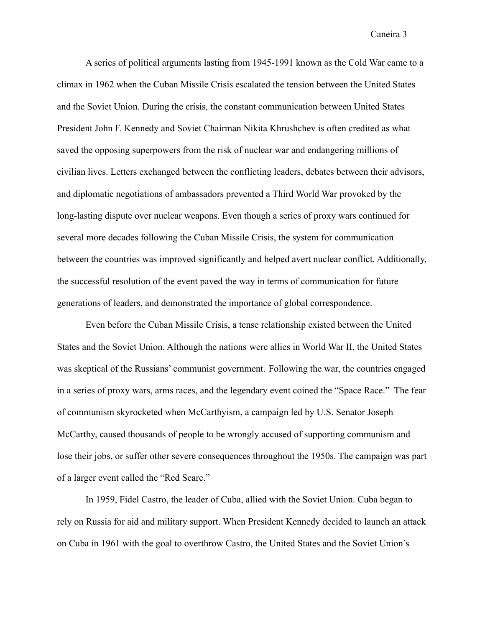A series of political arguments lasting from 1945-1991 known as the Cold War came to a climax in 1962 when the Cuban Missile Crisis escalated the tension between the United States and the Soviet Union. During the crisis, the constant communication between United States President John F. Kennedy and Soviet Chairman Nikita Khrushchev is often credited as what saved the opposing superpowers from the risk of nuclear war and endangering millions of civilian lives. Letters exchanged between the conflicting leaders, debates between their advisors, and diplomatic negotiations of ambassadors prevented a Third World War provoked by the long-lasting dispute over nuclear weapons. Even though a series of proxy wars continued for several more decades following the Cuban Missile Crisis, the system for communication between the countries was improved significantly and helped avert nuclear conflict. Additionally, the successful resolution of the event paved the way in terms of communication for future generations of leaders, and demonstrated the importance of global correspondence.

Even before the Cuban Missile Crisis, a tense relationship existed between the United States and the Soviet Union. Although the nations were allies in World War II, the United States was skeptical of the Russians' communist government. Following the war, the countries engaged in a series of proxy wars, arms races, and the legendary event coined the "Space Race." The fear of communism skyrocketed when McCarthyism, a campaign led by U.S. Senator Joseph McCarthy, caused thousands of people to be wrongly accused of supporting communism and lose their jobs, or suffer other severe consequences throughout the 1950s. The campaign was part of a larger event called the "Red Scare."

In 1959, Fidel Castro, the leader of Cuba, allied with the Soviet Union. Cuba began to rely on Russia for aid and military support. When President Kennedy decided to launch an attack on Cuba in 1961 with the goal to overthrow Castro, the United States and the Soviet Union's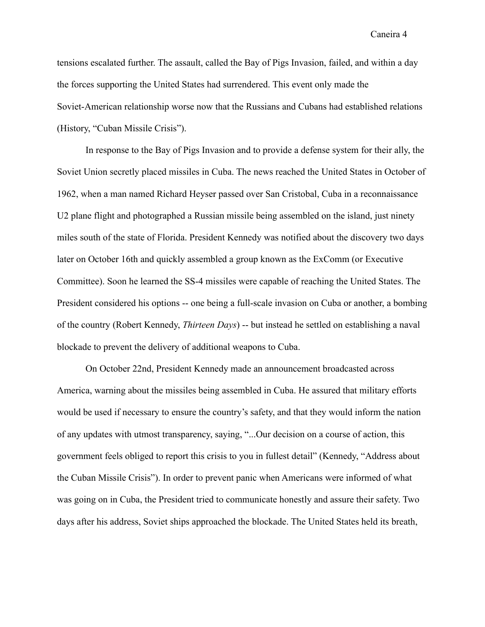tensions escalated further. The assault, called the Bay of Pigs Invasion, failed, and within a day the forces supporting the United States had surrendered. This event only made the Soviet-American relationship worse now that the Russians and Cubans had established relations (History, "Cuban Missile Crisis").

In response to the Bay of Pigs Invasion and to provide a defense system for their ally, the Soviet Union secretly placed missiles in Cuba. The news reached the United States in October of 1962, when a man named Richard Heyser passed over San Cristobal, Cuba in a reconnaissance U2 plane flight and photographed a Russian missile being assembled on the island, just ninety miles south of the state of Florida. President Kennedy was notified about the discovery two days later on October 16th and quickly assembled a group known as the ExComm (or Executive Committee). Soon he learned the SS-4 missiles were capable of reaching the United States. The President considered his options -- one being a full-scale invasion on Cuba or another, a bombing of the country (Robert Kennedy, *Thirteen Days*) -- but instead he settled on establishing a naval blockade to prevent the delivery of additional weapons to Cuba.

On October 22nd, President Kennedy made an announcement broadcasted across America, warning about the missiles being assembled in Cuba. He assured that military efforts would be used if necessary to ensure the country's safety, and that they would inform the nation of any updates with utmost transparency, saying, "...Our decision on a course of action, this government feels obliged to report this crisis to you in fullest detail" (Kennedy, "Address about the Cuban Missile Crisis"). In order to prevent panic when Americans were informed of what was going on in Cuba, the President tried to communicate honestly and assure their safety. Two days after his address, Soviet ships approached the blockade. The United States held its breath,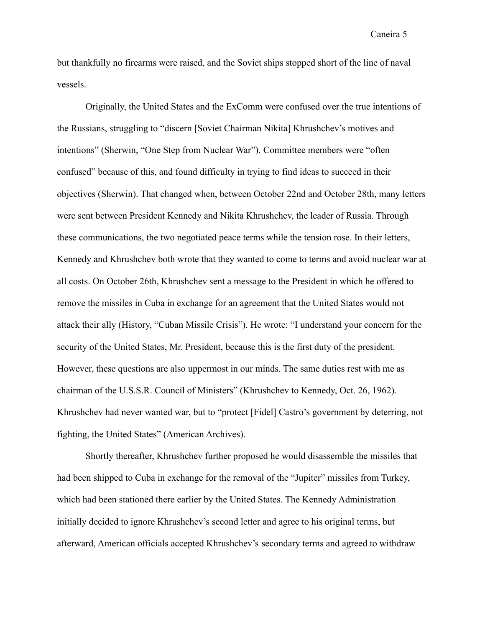but thankfully no firearms were raised, and the Soviet ships stopped short of the line of naval vessels.

Originally, the United States and the ExComm were confused over the true intentions of the Russians, struggling to "discern [Soviet Chairman Nikita] Khrushchev's motives and intentions" (Sherwin, "One Step from Nuclear War"). Committee members were "often confused" because of this, and found difficulty in trying to find ideas to succeed in their objectives (Sherwin). That changed when, between October 22nd and October 28th, many letters were sent between President Kennedy and Nikita Khrushchev, the leader of Russia. Through these communications, the two negotiated peace terms while the tension rose. In their letters, Kennedy and Khrushchev both wrote that they wanted to come to terms and avoid nuclear war at all costs. On October 26th, Khrushchev sent a message to the President in which he offered to remove the missiles in Cuba in exchange for an agreement that the United States would not attack their ally (History, "Cuban Missile Crisis"). He wrote: "I understand your concern for the security of the United States, Mr. President, because this is the first duty of the president. However, these questions are also uppermost in our minds. The same duties rest with me as chairman of the U.S.S.R. Council of Ministers" (Khrushchev to Kennedy, Oct. 26, 1962). Khrushchev had never wanted war, but to "protect [Fidel] Castro's government by deterring, not fighting, the United States" (American Archives).

Shortly thereafter, Khrushchev further proposed he would disassemble the missiles that had been shipped to Cuba in exchange for the removal of the "Jupiter" missiles from Turkey, which had been stationed there earlier by the United States. The Kennedy Administration initially decided to ignore Khrushchev's second letter and agree to his original terms, but afterward, American officials accepted Khrushchev's secondary terms and agreed to withdraw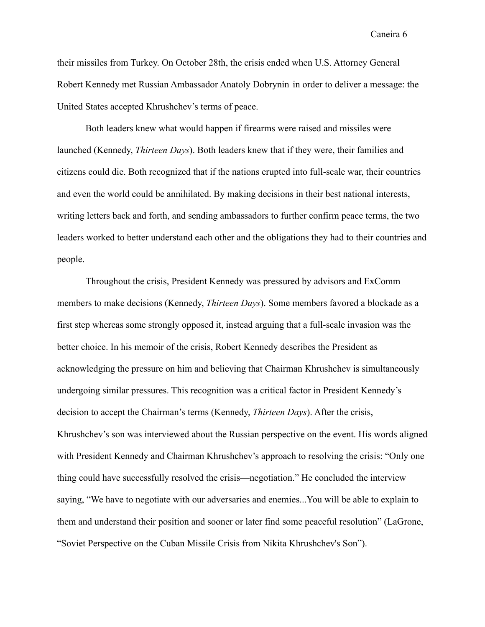their missiles from Turkey. On October 28th, the crisis ended when U.S. Attorney General Robert Kennedy met Russian Ambassador Anatoly Dobrynin in order to deliver a message: the United States accepted Khrushchev's terms of peace.

Both leaders knew what would happen if firearms were raised and missiles were launched (Kennedy, *Thirteen Days*). Both leaders knew that if they were, their families and citizens could die. Both recognized that if the nations erupted into full-scale war, their countries and even the world could be annihilated. By making decisions in their best national interests, writing letters back and forth, and sending ambassadors to further confirm peace terms, the two leaders worked to better understand each other and the obligations they had to their countries and people.

Throughout the crisis, President Kennedy was pressured by advisors and ExComm members to make decisions (Kennedy, *Thirteen Days*). Some members favored a blockade as a first step whereas some strongly opposed it, instead arguing that a full-scale invasion was the better choice. In his memoir of the crisis, Robert Kennedy describes the President as acknowledging the pressure on him and believing that Chairman Khrushchev is simultaneously undergoing similar pressures. This recognition was a critical factor in President Kennedy's decision to accept the Chairman's terms (Kennedy, *Thirteen Days*). After the crisis, Khrushchev's son was interviewed about the Russian perspective on the event. His words aligned with President Kennedy and Chairman Khrushchev's approach to resolving the crisis: "Only one thing could have successfully resolved the crisis—negotiation." He concluded the interview saying, "We have to negotiate with our adversaries and enemies...You will be able to explain to them and understand their position and sooner or later find some peaceful resolution" (LaGrone, "Soviet Perspective on the Cuban Missile Crisis from Nikita Khrushchev's Son").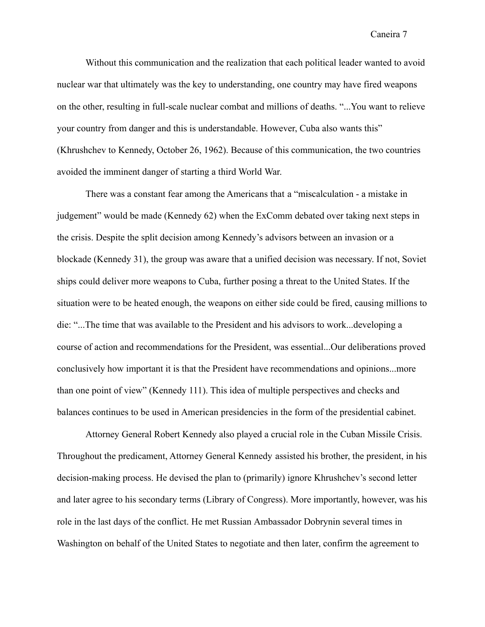Without this communication and the realization that each political leader wanted to avoid nuclear war that ultimately was the key to understanding, one country may have fired weapons on the other, resulting in full-scale nuclear combat and millions of deaths. "...You want to relieve your country from danger and this is understandable. However, Cuba also wants this" (Khrushchev to Kennedy, October 26, 1962). Because of this communication, the two countries avoided the imminent danger of starting a third World War.

There was a constant fear among the Americans that a "miscalculation - a mistake in judgement" would be made (Kennedy 62) when the ExComm debated over taking next steps in the crisis. Despite the split decision among Kennedy's advisors between an invasion or a blockade (Kennedy 31), the group was aware that a unified decision was necessary. If not, Soviet ships could deliver more weapons to Cuba, further posing a threat to the United States. If the situation were to be heated enough, the weapons on either side could be fired, causing millions to die: "...The time that was available to the President and his advisors to work...developing a course of action and recommendations for the President, was essential...Our deliberations proved conclusively how important it is that the President have recommendations and opinions...more than one point of view" (Kennedy 111). This idea of multiple perspectives and checks and balances continues to be used in American presidencies in the form of the presidential cabinet.

Attorney General Robert Kennedy also played a crucial role in the Cuban Missile Crisis. Throughout the predicament, Attorney General Kennedy assisted his brother, the president, in his decision-making process. He devised the plan to (primarily) ignore Khrushchev's second letter and later agree to his secondary terms (Library of Congress). More importantly, however, was his role in the last days of the conflict. He met Russian Ambassador Dobrynin several times in Washington on behalf of the United States to negotiate and then later, confirm the agreement to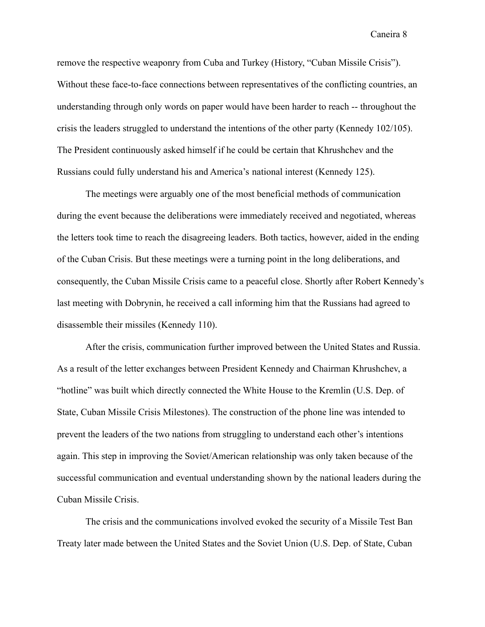remove the respective weaponry from Cuba and Turkey (History, "Cuban Missile Crisis"). Without these face-to-face connections between representatives of the conflicting countries, an understanding through only words on paper would have been harder to reach -- throughout the crisis the leaders struggled to understand the intentions of the other party (Kennedy 102/105). The President continuously asked himself if he could be certain that Khrushchev and the Russians could fully understand his and America's national interest (Kennedy 125).

The meetings were arguably one of the most beneficial methods of communication during the event because the deliberations were immediately received and negotiated, whereas the letters took time to reach the disagreeing leaders. Both tactics, however, aided in the ending of the Cuban Crisis. But these meetings were a turning point in the long deliberations, and consequently, the Cuban Missile Crisis came to a peaceful close. Shortly after Robert Kennedy's last meeting with Dobrynin, he received a call informing him that the Russians had agreed to disassemble their missiles (Kennedy 110).

After the crisis, communication further improved between the United States and Russia. As a result of the letter exchanges between President Kennedy and Chairman Khrushchev, a "hotline" was built which directly connected the White House to the Kremlin (U.S. Dep. of State, Cuban Missile Crisis Milestones). The construction of the phone line was intended to prevent the leaders of the two nations from struggling to understand each other's intentions again. This step in improving the Soviet/American relationship was only taken because of the successful communication and eventual understanding shown by the national leaders during the Cuban Missile Crisis.

The crisis and the communications involved evoked the security of a Missile Test Ban Treaty later made between the United States and the Soviet Union (U.S. Dep. of State, Cuban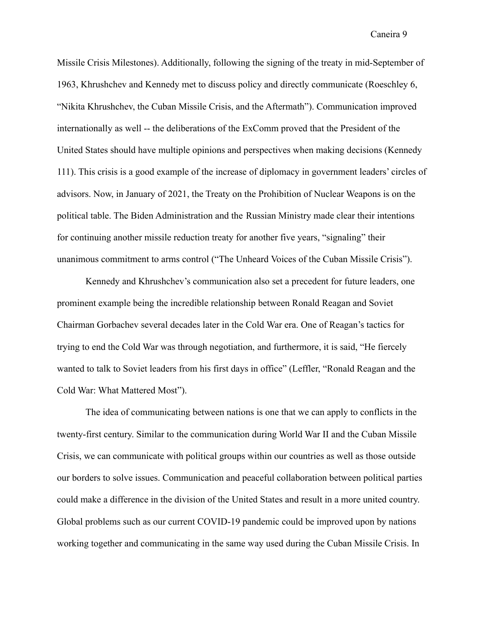Missile Crisis Milestones). Additionally, following the signing of the treaty in mid-September of 1963, Khrushchev and Kennedy met to discuss policy and directly communicate (Roeschley 6, "Nikita Khrushchev, the Cuban Missile Crisis, and the Aftermath"). Communication improved internationally as well -- the deliberations of the ExComm proved that the President of the United States should have multiple opinions and perspectives when making decisions (Kennedy 111). This crisis is a good example of the increase of diplomacy in government leaders' circles of advisors. Now, in January of 2021, the Treaty on the Prohibition of Nuclear Weapons is on the political table. The Biden Administration and the Russian Ministry made clear their intentions for continuing another missile reduction treaty for another five years, "signaling" their unanimous commitment to arms control ("The Unheard Voices of the Cuban Missile Crisis").

Kennedy and Khrushchev's communication also set a precedent for future leaders, one prominent example being the incredible relationship between Ronald Reagan and Soviet Chairman Gorbachev several decades later in the Cold War era. One of Reagan's tactics for trying to end the Cold War was through negotiation, and furthermore, it is said, "He fiercely wanted to talk to Soviet leaders from his first days in office" (Leffler, "Ronald Reagan and the Cold War: What Mattered Most").

The idea of communicating between nations is one that we can apply to conflicts in the twenty-first century. Similar to the communication during World War II and the Cuban Missile Crisis, we can communicate with political groups within our countries as well as those outside our borders to solve issues. Communication and peaceful collaboration between political parties could make a difference in the division of the United States and result in a more united country. Global problems such as our current COVID-19 pandemic could be improved upon by nations working together and communicating in the same way used during the Cuban Missile Crisis. In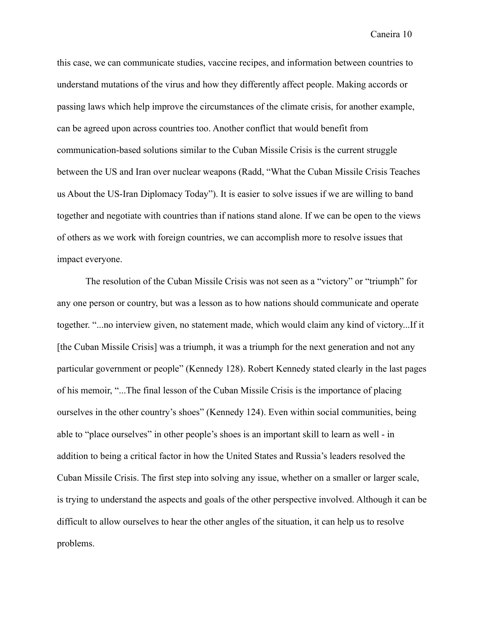this case, we can communicate studies, vaccine recipes, and information between countries to understand mutations of the virus and how they differently affect people. Making accords or passing laws which help improve the circumstances of the climate crisis, for another example, can be agreed upon across countries too. Another conflict that would benefit from communication-based solutions similar to the Cuban Missile Crisis is the current struggle between the US and Iran over nuclear weapons (Radd, "What the Cuban Missile Crisis Teaches us About the US-Iran Diplomacy Today"). It is easier to solve issues if we are willing to band together and negotiate with countries than if nations stand alone. If we can be open to the views of others as we work with foreign countries, we can accomplish more to resolve issues that impact everyone.

The resolution of the Cuban Missile Crisis was not seen as a "victory" or "triumph" for any one person or country, but was a lesson as to how nations should communicate and operate together. "...no interview given, no statement made, which would claim any kind of victory...If it [the Cuban Missile Crisis] was a triumph, it was a triumph for the next generation and not any particular government or people" (Kennedy 128). Robert Kennedy stated clearly in the last pages of his memoir, "...The final lesson of the Cuban Missile Crisis is the importance of placing ourselves in the other country's shoes" (Kennedy 124). Even within social communities, being able to "place ourselves" in other people's shoes is an important skill to learn as well - in addition to being a critical factor in how the United States and Russia's leaders resolved the Cuban Missile Crisis. The first step into solving any issue, whether on a smaller or larger scale, is trying to understand the aspects and goals of the other perspective involved. Although it can be difficult to allow ourselves to hear the other angles of the situation, it can help us to resolve problems.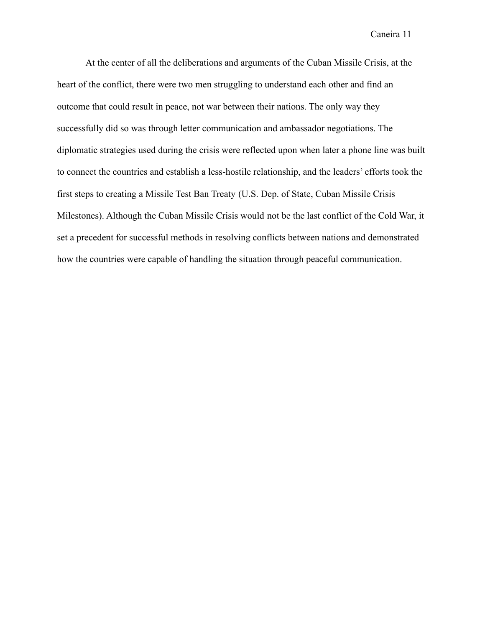At the center of all the deliberations and arguments of the Cuban Missile Crisis, at the heart of the conflict, there were two men struggling to understand each other and find an outcome that could result in peace, not war between their nations. The only way they successfully did so was through letter communication and ambassador negotiations. The diplomatic strategies used during the crisis were reflected upon when later a phone line was built to connect the countries and establish a less-hostile relationship, and the leaders' efforts took the first steps to creating a Missile Test Ban Treaty (U.S. Dep. of State, Cuban Missile Crisis Milestones). Although the Cuban Missile Crisis would not be the last conflict of the Cold War, it set a precedent for successful methods in resolving conflicts between nations and demonstrated how the countries were capable of handling the situation through peaceful communication.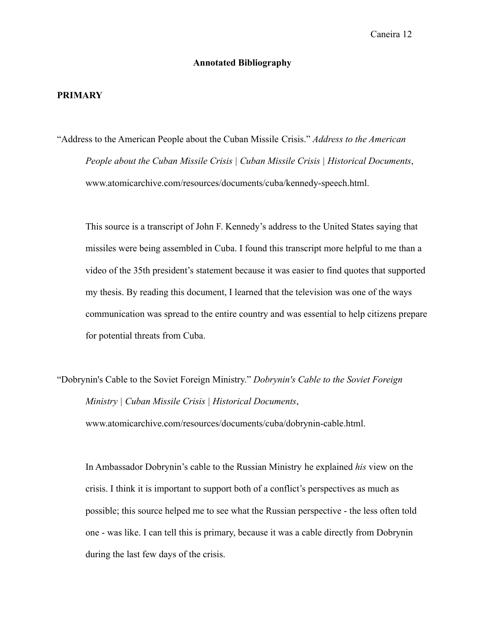# **Annotated Bibliography**

### **PRIMARY**

"Address to the American People about the Cuban Missile Crisis." *Address to the American People about the Cuban Missile Crisis | Cuban Missile Crisis | Historical Documents*, www.atomicarchive.com/resources/documents/cuba/kennedy-speech.html.

This source is a transcript of John F. Kennedy's address to the United States saying that missiles were being assembled in Cuba. I found this transcript more helpful to me than a video of the 35th president's statement because it was easier to find quotes that supported my thesis. By reading this document, I learned that the television was one of the ways communication was spread to the entire country and was essential to help citizens prepare for potential threats from Cuba.

"Dobrynin's Cable to the Soviet Foreign Ministry." *Dobrynin's Cable to the Soviet Foreign Ministry | Cuban Missile Crisis | Historical Documents*, www.atomicarchive.com/resources/documents/cuba/dobrynin-cable.html.

In Ambassador Dobrynin's cable to the Russian Ministry he explained *his* view on the crisis. I think it is important to support both of a conflict's perspectives as much as possible; this source helped me to see what the Russian perspective - the less often told one - was like. I can tell this is primary, because it was a cable directly from Dobrynin during the last few days of the crisis.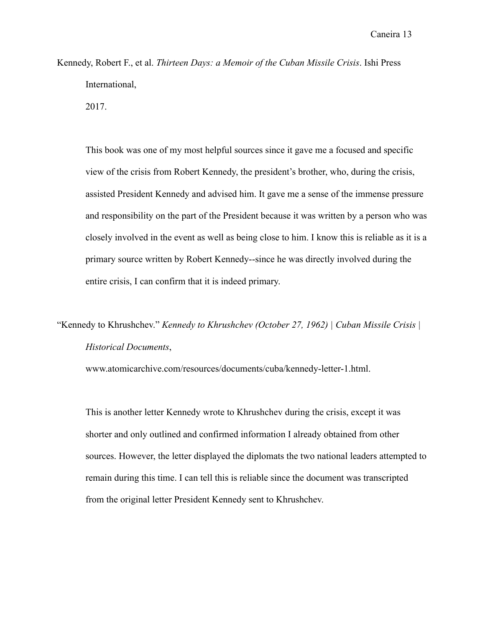Kennedy, Robert F., et al. *Thirteen Days: a Memoir of the Cuban Missile Crisis*. Ishi Press International, 2017.

This book was one of my most helpful sources since it gave me a focused and specific view of the crisis from Robert Kennedy, the president's brother, who, during the crisis, assisted President Kennedy and advised him. It gave me a sense of the immense pressure and responsibility on the part of the President because it was written by a person who was closely involved in the event as well as being close to him. I know this is reliable as it is a primary source written by Robert Kennedy--since he was directly involved during the entire crisis, I can confirm that it is indeed primary.

"Kennedy to Khrushchev." *Kennedy to Khrushchev (October 27, 1962) | Cuban Missile Crisis | Historical Documents*,

www.atomicarchive.com/resources/documents/cuba/kennedy-letter-1.html.

This is another letter Kennedy wrote to Khrushchev during the crisis, except it was shorter and only outlined and confirmed information I already obtained from other sources. However, the letter displayed the diplomats the two national leaders attempted to remain during this time. I can tell this is reliable since the document was transcripted from the original letter President Kennedy sent to Khrushchev.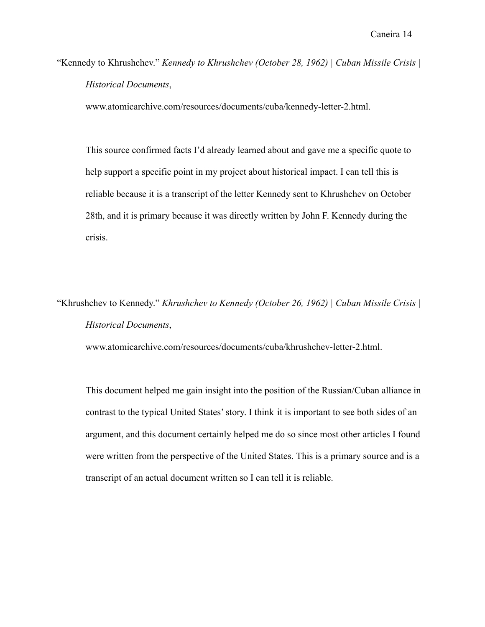"Kennedy to Khrushchev." *Kennedy to Khrushchev (October 28, 1962) | Cuban Missile Crisis | Historical Documents*,

www.atomicarchive.com/resources/documents/cuba/kennedy-letter-2.html.

This source confirmed facts I'd already learned about and gave me a specific quote to help support a specific point in my project about historical impact. I can tell this is reliable because it is a transcript of the letter Kennedy sent to Khrushchev on October 28th, and it is primary because it was directly written by John F. Kennedy during the crisis.

"Khrushchev to Kennedy." *Khrushchev to Kennedy (October 26, 1962) | Cuban Missile Crisis | Historical Documents*,

www.atomicarchive.com/resources/documents/cuba/khrushchev-letter-2.html.

This document helped me gain insight into the position of the Russian/Cuban alliance in contrast to the typical United States' story. I think it is important to see both sides of an argument, and this document certainly helped me do so since most other articles I found were written from the perspective of the United States. This is a primary source and is a transcript of an actual document written so I can tell it is reliable.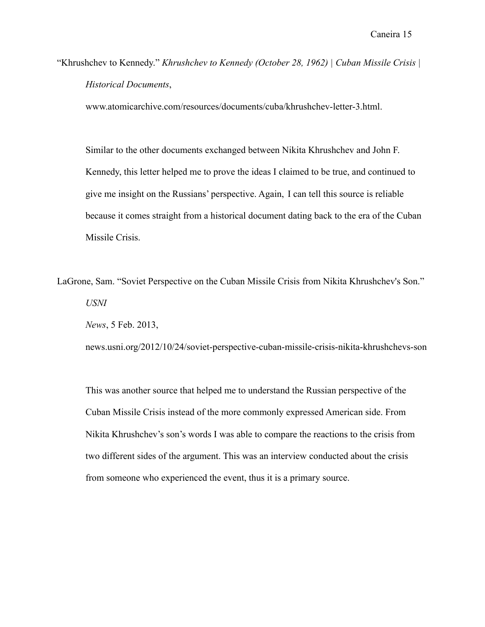"Khrushchev to Kennedy." *Khrushchev to Kennedy (October 28, 1962) | Cuban Missile Crisis | Historical Documents*,

www.atomicarchive.com/resources/documents/cuba/khrushchev-letter-3.html.

Similar to the other documents exchanged between Nikita Khrushchev and John F. Kennedy, this letter helped me to prove the ideas I claimed to be true, and continued to give me insight on the Russians' perspective. Again, I can tell this source is reliable because it comes straight from a historical document dating back to the era of the Cuban Missile Crisis.

LaGrone, Sam. "Soviet Perspective on the Cuban Missile Crisis from Nikita Khrushchev's Son." *USNI*

*News*, 5 Feb. 2013,

news.usni.org/2012/10/24/soviet-perspective-cuban-missile-crisis-nikita-khrushchevs-son

This was another source that helped me to understand the Russian perspective of the Cuban Missile Crisis instead of the more commonly expressed American side. From Nikita Khrushchev's son's words I was able to compare the reactions to the crisis from two different sides of the argument. This was an interview conducted about the crisis from someone who experienced the event, thus it is a primary source.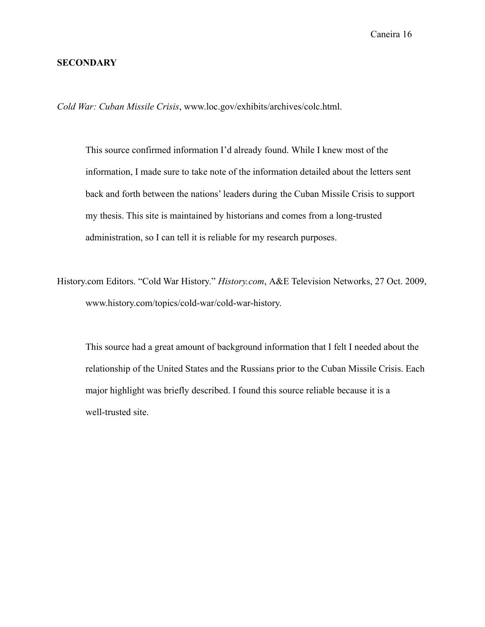## **SECONDARY**

*Cold War: Cuban Missile Crisis*, www.loc.gov/exhibits/archives/colc.html.

This source confirmed information I'd already found. While I knew most of the information, I made sure to take note of the information detailed about the letters sent back and forth between the nations' leaders during the Cuban Missile Crisis to support my thesis. This site is maintained by historians and comes from a long-trusted administration, so I can tell it is reliable for my research purposes.

History.com Editors. "Cold War History." *History.com*, A&E Television Networks, 27 Oct. 2009, www.history.com/topics/cold-war/cold-war-history.

This source had a great amount of background information that I felt I needed about the relationship of the United States and the Russians prior to the Cuban Missile Crisis. Each major highlight was briefly described. I found this source reliable because it is a well-trusted site.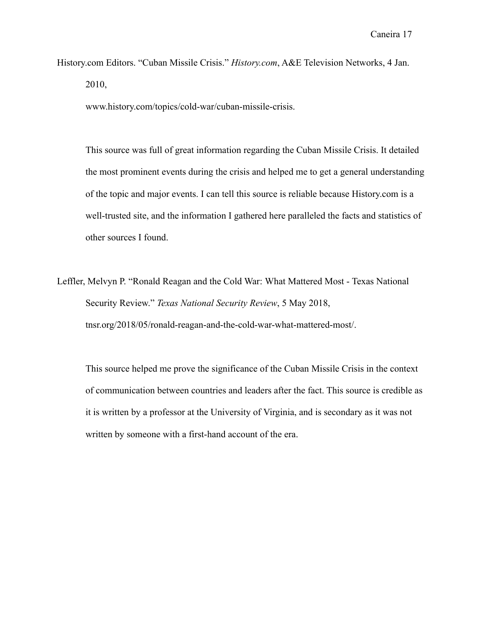History.com Editors. "Cuban Missile Crisis." *History.com*, A&E Television Networks, 4 Jan. 2010,

www.history.com/topics/cold-war/cuban-missile-crisis.

This source was full of great information regarding the Cuban Missile Crisis. It detailed the most prominent events during the crisis and helped me to get a general understanding of the topic and major events. I can tell this source is reliable because History.com is a well-trusted site, and the information I gathered here paralleled the facts and statistics of other sources I found.

Leffler, Melvyn P. "Ronald Reagan and the Cold War: What Mattered Most - Texas National Security Review." *Texas National Security Review*, 5 May 2018, tnsr.org/2018/05/ronald-reagan-and-the-cold-war-what-mattered-most/.

This source helped me prove the significance of the Cuban Missile Crisis in the context of communication between countries and leaders after the fact. This source is credible as it is written by a professor at the University of Virginia, and is secondary as it was not written by someone with a first-hand account of the era.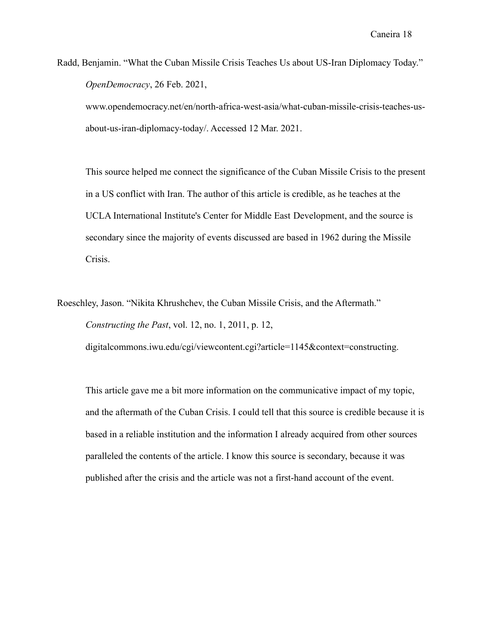Radd, Benjamin. "What the Cuban Missile Crisis Teaches Us about US-Iran Diplomacy Today." *OpenDemocracy*, 26 Feb. 2021,

www.opendemocracy.net/en/north-africa-west-asia/what-cuban-missile-crisis-teaches-usabout-us-iran-diplomacy-today/. Accessed 12 Mar. 2021.

This source helped me connect the significance of the Cuban Missile Crisis to the present in a US conflict with Iran. The author of this article is credible, as he teaches at the UCLA International Institute's Center for Middle East Development, and the source is secondary since the majority of events discussed are based in 1962 during the Missile Crisis.

Roeschley, Jason. "Nikita Khrushchev, the Cuban Missile Crisis, and the Aftermath." *Constructing the Past*, vol. 12, no. 1, 2011, p. 12, digitalcommons.iwu.edu/cgi/viewcontent.cgi?article=1145&context=constructing.

This article gave me a bit more information on the communicative impact of my topic, and the aftermath of the Cuban Crisis. I could tell that this source is credible because it is based in a reliable institution and the information I already acquired from other sources paralleled the contents of the article. I know this source is secondary, because it was published after the crisis and the article was not a first-hand account of the event.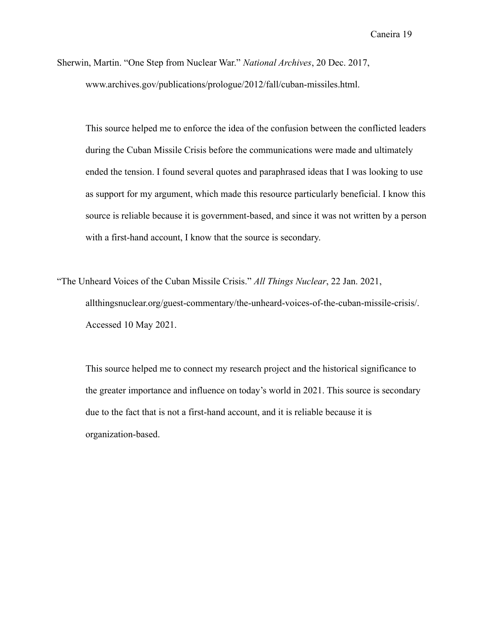Sherwin, Martin. "One Step from Nuclear War." *National Archives*, 20 Dec. 2017, www.archives.gov/publications/prologue/2012/fall/cuban-missiles.html.

This source helped me to enforce the idea of the confusion between the conflicted leaders during the Cuban Missile Crisis before the communications were made and ultimately ended the tension. I found several quotes and paraphrased ideas that I was looking to use as support for my argument, which made this resource particularly beneficial. I know this source is reliable because it is government-based, and since it was not written by a person with a first-hand account, I know that the source is secondary.

"The Unheard Voices of the Cuban Missile Crisis." *All Things Nuclear*, 22 Jan. 2021, allthingsnuclear.org/guest-commentary/the-unheard-voices-of-the-cuban-missile-crisis/. Accessed 10 May 2021.

This source helped me to connect my research project and the historical significance to the greater importance and influence on today's world in 2021. This source is secondary due to the fact that is not a first-hand account, and it is reliable because it is organization-based.